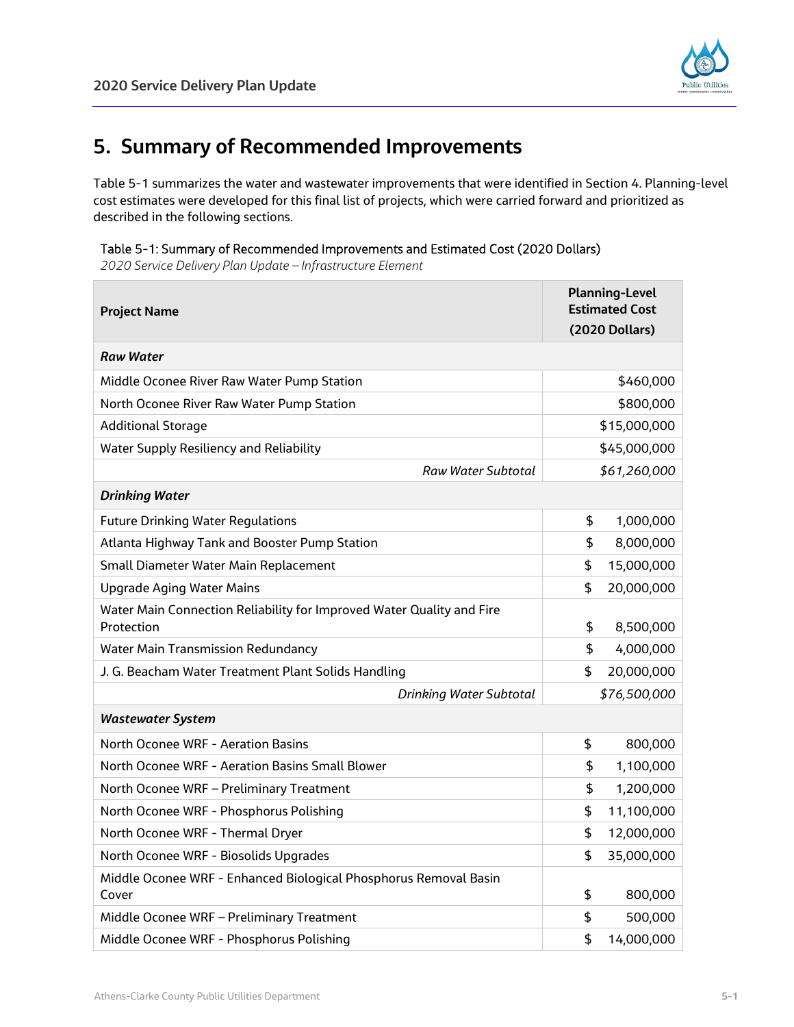

## **5. Summary of Recommended Improvements**

Table 5-1 summarizes the water and wastewater improvements that were identified in Section 4. Planning-level cost estimates were developed for this final list of projects, which were carried forward and prioritized as described in the following sections.

| Table 5-1: Summary of Recommended Improvements and Estimated Cost (2020 Dollars) |  |  |  |  |
|----------------------------------------------------------------------------------|--|--|--|--|
|----------------------------------------------------------------------------------|--|--|--|--|

*2020 Service Delivery Plan Update – Infrastructure Element*

| <b>Project Name</b>                                                                 |              | <b>Planning-Level</b><br><b>Estimated Cost</b> |  |
|-------------------------------------------------------------------------------------|--------------|------------------------------------------------|--|
|                                                                                     |              | (2020 Dollars)                                 |  |
| <b>Raw Water</b>                                                                    |              |                                                |  |
| Middle Oconee River Raw Water Pump Station                                          |              | \$460,000                                      |  |
| North Oconee River Raw Water Pump Station                                           |              | \$800,000                                      |  |
| <b>Additional Storage</b>                                                           | \$15,000,000 |                                                |  |
| <b>Water Supply Resiliency and Reliability</b>                                      | \$45,000,000 |                                                |  |
| Raw Water Subtotal                                                                  |              | \$61,260,000                                   |  |
| <b>Drinking Water</b>                                                               |              |                                                |  |
| <b>Future Drinking Water Regulations</b>                                            | \$           | 1,000,000                                      |  |
| Atlanta Highway Tank and Booster Pump Station                                       | \$           | 8,000,000                                      |  |
| Small Diameter Water Main Replacement                                               | \$           | 15,000,000                                     |  |
| <b>Upgrade Aging Water Mains</b>                                                    | \$           | 20,000,000                                     |  |
| Water Main Connection Reliability for Improved Water Quality and Fire<br>Protection | \$           | 8,500,000                                      |  |
| <b>Water Main Transmission Redundancy</b>                                           | \$           | 4,000,000                                      |  |
| J. G. Beacham Water Treatment Plant Solids Handling                                 | \$           | 20,000,000                                     |  |
| Drinking Water Subtotal                                                             |              | \$76,500,000                                   |  |
| <b>Wastewater System</b>                                                            |              |                                                |  |
| North Oconee WRF - Aeration Basins                                                  | \$           | 800,000                                        |  |
| North Oconee WRF - Aeration Basins Small Blower                                     | \$           | 1,100,000                                      |  |
| North Oconee WRF - Preliminary Treatment                                            | \$           | 1,200,000                                      |  |
| North Oconee WRF - Phosphorus Polishing                                             | \$           | 11,100,000                                     |  |
| North Oconee WRF - Thermal Dryer                                                    | \$           | 12,000,000                                     |  |
| North Oconee WRF - Biosolids Upgrades                                               | \$           | 35,000,000                                     |  |
| Middle Oconee WRF - Enhanced Biological Phosphorus Removal Basin<br>Cover           | \$           | 800,000                                        |  |
| Middle Oconee WRF - Preliminary Treatment                                           | \$           | 500,000                                        |  |
| Middle Oconee WRF - Phosphorus Polishing                                            | \$           | 14,000,000                                     |  |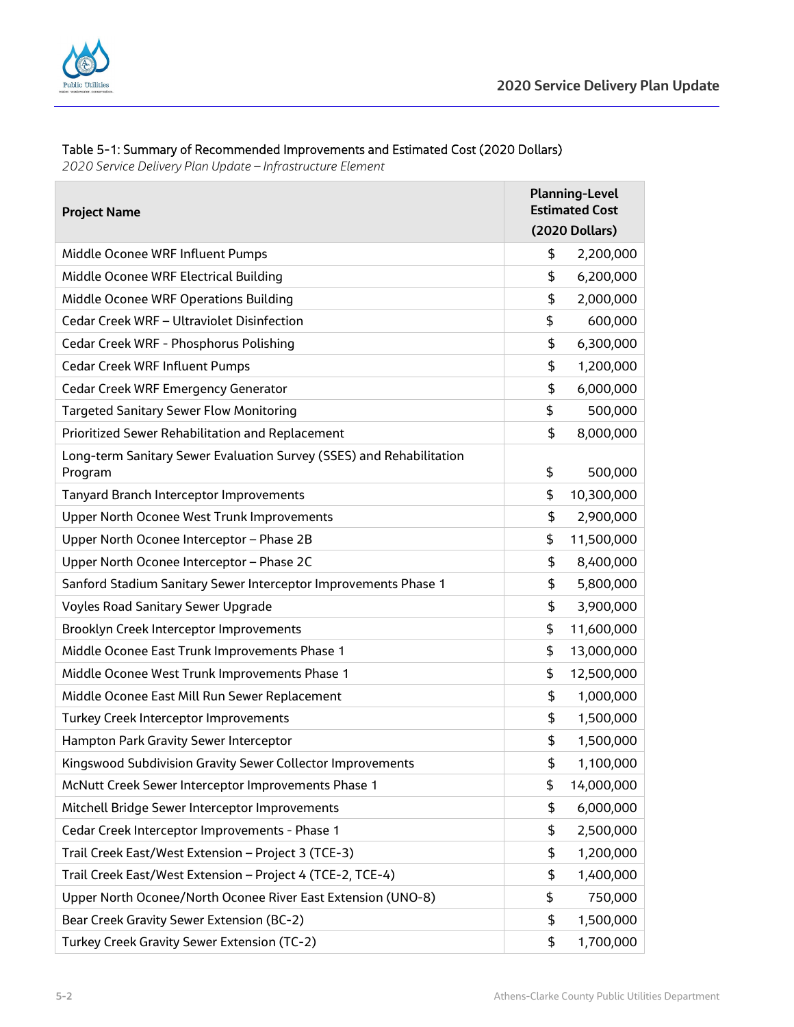

## Table 5-1: Summary of Recommended Improvements and Estimated Cost (2020 Dollars)

*2020 Service Delivery Plan Update – Infrastructure Element*

| <b>Project Name</b>                                                             |    | <b>Planning-Level</b><br><b>Estimated Cost</b> |  |
|---------------------------------------------------------------------------------|----|------------------------------------------------|--|
|                                                                                 |    | (2020 Dollars)                                 |  |
| Middle Oconee WRF Influent Pumps                                                | \$ | 2,200,000                                      |  |
| Middle Oconee WRF Electrical Building                                           | \$ | 6,200,000                                      |  |
| Middle Oconee WRF Operations Building                                           | \$ | 2,000,000                                      |  |
| Cedar Creek WRF - Ultraviolet Disinfection                                      | \$ | 600,000                                        |  |
| Cedar Creek WRF - Phosphorus Polishing                                          | \$ | 6,300,000                                      |  |
| <b>Cedar Creek WRF Influent Pumps</b>                                           | \$ | 1,200,000                                      |  |
| Cedar Creek WRF Emergency Generator                                             | \$ | 6,000,000                                      |  |
| <b>Targeted Sanitary Sewer Flow Monitoring</b>                                  | \$ | 500,000                                        |  |
| Prioritized Sewer Rehabilitation and Replacement                                | \$ | 8,000,000                                      |  |
| Long-term Sanitary Sewer Evaluation Survey (SSES) and Rehabilitation<br>Program | \$ | 500,000                                        |  |
| <b>Tanyard Branch Interceptor Improvements</b>                                  | \$ | 10,300,000                                     |  |
| <b>Upper North Oconee West Trunk Improvements</b>                               | \$ | 2,900,000                                      |  |
| Upper North Oconee Interceptor - Phase 2B                                       | \$ | 11,500,000                                     |  |
| Upper North Oconee Interceptor - Phase 2C                                       | \$ | 8,400,000                                      |  |
| Sanford Stadium Sanitary Sewer Interceptor Improvements Phase 1                 | \$ | 5,800,000                                      |  |
| <b>Voyles Road Sanitary Sewer Upgrade</b>                                       | \$ | 3,900,000                                      |  |
| Brooklyn Creek Interceptor Improvements                                         | \$ | 11,600,000                                     |  |
| Middle Oconee East Trunk Improvements Phase 1                                   | \$ | 13,000,000                                     |  |
| Middle Oconee West Trunk Improvements Phase 1                                   | \$ | 12,500,000                                     |  |
| Middle Oconee East Mill Run Sewer Replacement                                   | \$ | 1,000,000                                      |  |
| Turkey Creek Interceptor Improvements                                           | \$ | 1,500,000                                      |  |
| Hampton Park Gravity Sewer Interceptor                                          | \$ | 1,500,000                                      |  |
| Kingswood Subdivision Gravity Sewer Collector Improvements                      | \$ | 1,100,000                                      |  |
| McNutt Creek Sewer Interceptor Improvements Phase 1                             | \$ | 14,000,000                                     |  |
| Mitchell Bridge Sewer Interceptor Improvements                                  | \$ | 6,000,000                                      |  |
| Cedar Creek Interceptor Improvements - Phase 1                                  | \$ | 2,500,000                                      |  |
| Trail Creek East/West Extension - Project 3 (TCE-3)                             | \$ | 1,200,000                                      |  |
| Trail Creek East/West Extension - Project 4 (TCE-2, TCE-4)                      | \$ | 1,400,000                                      |  |
| Upper North Oconee/North Oconee River East Extension (UNO-8)                    | \$ | 750,000                                        |  |
| Bear Creek Gravity Sewer Extension (BC-2)                                       | \$ | 1,500,000                                      |  |
| Turkey Creek Gravity Sewer Extension (TC-2)                                     | \$ | 1,700,000                                      |  |